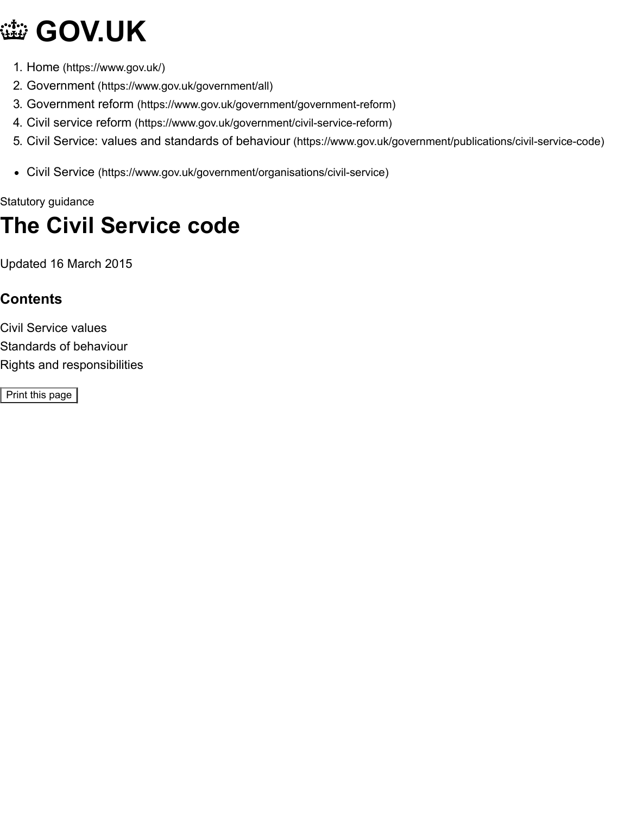# **[GOV.UK](https://www.gov.uk/)**

- 1. Home [\(https://www.gov.uk/\)](https://www.gov.uk/)
- 2. Government [\(https://www.gov.uk/government/all\)](https://www.gov.uk/government/all)
- 3. Government reform [\(https://www.gov.uk/government/government-reform\)](https://www.gov.uk/government/government-reform)
- 4. Civil service reform [\(https://www.gov.uk/government/civil-service-reform\)](https://www.gov.uk/government/civil-service-reform)
- 5. Civil Service: values and standards of behaviour [\(https://www.gov.uk/government/publications/civil-service-code\)](https://www.gov.uk/government/publications/civil-service-code)
- Civil Service [\(https://www.gov.uk/government/organisations/civil-service\)](https://www.gov.uk/government/organisations/civil-service)

Statutory guidance

## **The Civil Service code**

Updated 16 March 2015

#### **Contents**

Civil Service values Standards of behaviour

Rights and responsibilities

Print this page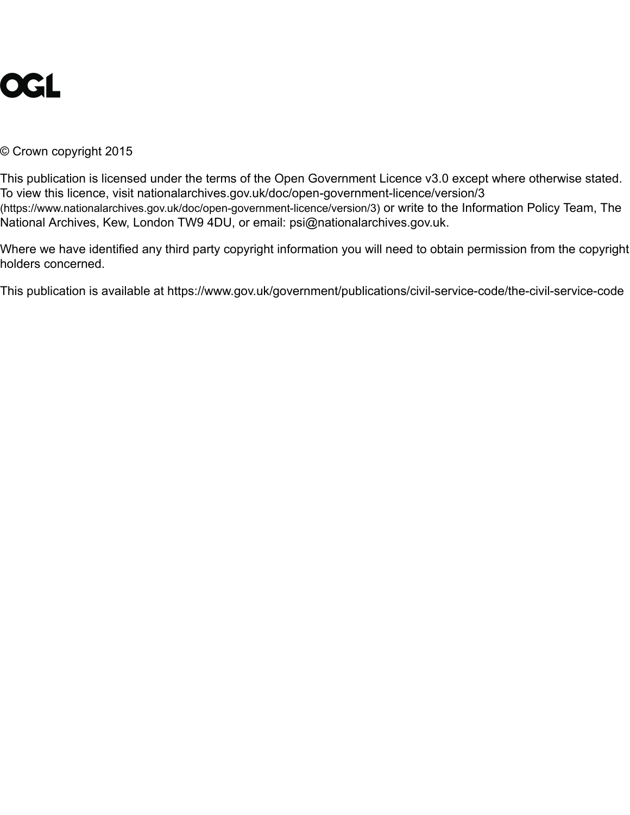

#### © Crown copyright 2015

This publication is licensed under the terms of the Open Government Licence v3.0 except where otherwise stated. [To view this licence, visit nationalarchives.gov.uk/doc/open-government-licence/version/3](https://www.nationalarchives.gov.uk/doc/open-government-licence/version/3) (https://www.nationalarchives.gov.uk/doc/open-government-licence/version/3) or write to the Information Policy Team, The National Archives, Kew, London TW9 4DU, or email: [psi@nationalarchives.gov.uk.](mailto:psi@nationalarchives.gov.uk)

Where we have identified any third party copyright information you will need to obtain permission from the copyright holders concerned.

This publication is available at https://www.gov.uk/government/publications/civil-service-code/the-civil-service-code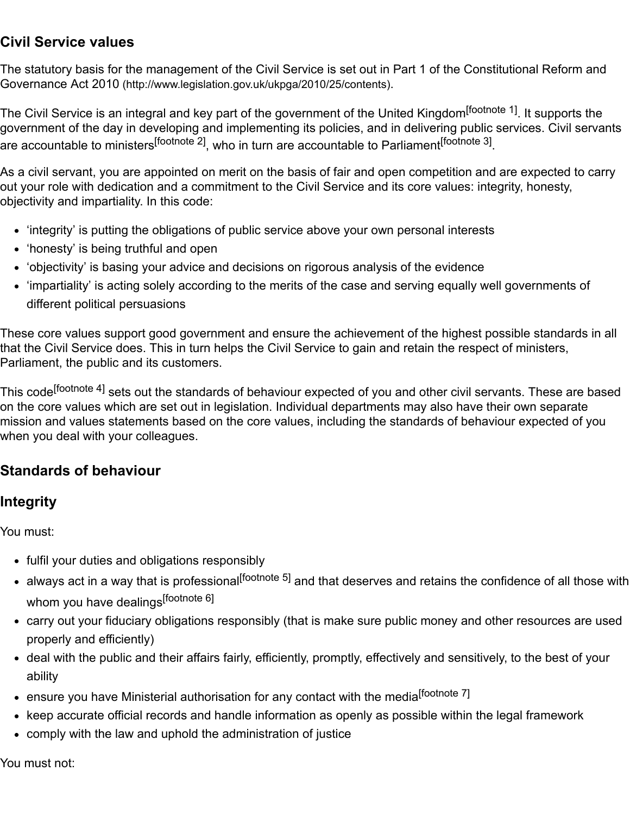#### **Civil Service values**

[The statutory basis for the management of the Civil Service is set out in Part 1 of the Constitutional Reform and](http://www.legislation.gov.uk/ukpga/2010/25/contents) Governance Act 2010 (http://www.legislation.gov.uk/ukpga/2010/25/contents).

The Civil Service is an integral and key part of the government of the United Kingdom<sup>[\[footnote](#page-4-0) 1]</sup>. It supports the government of the day in developing and implementing its policies, and in delivering public services. Civil servants are accountable to ministers<sup>[\[footnote](#page-5-1) 2]</sup>, who in turn are accountable to Parliament<sup>[footnote 3]<sub>.</sub></sup>

As a civil servant, you are appointed on merit on the basis of fair and open competition and are expected to carry out your role with dedication and a commitment to the Civil Service and its core values: integrity, honesty, objectivity and impartiality. In this code:

- 'integrity' is putting the obligations of public service above your own personal interests
- 'honesty' is being truthful and open
- 'objectivity' is basing your advice and decisions on rigorous analysis of the evidence
- 'impartiality' is acting solely according to the merits of the case and serving equally well governments of different political persuasions

These core values support good government and ensure the achievement of the highest possible standards in all that the Civil Service does. This in turn helps the Civil Service to gain and retain the respect of ministers, Parliament, the public and its customers.

This code<sup>[\[footnote](#page-5-2) 4]</sup> sets out the standards of behaviour expected of you and other civil servants. These are based on the core values which are set out in legislation. Individual departments may also have their own separate mission and values statements based on the core values, including the standards of behaviour expected of you when you deal with your colleagues.

#### **Standards of behaviour**

#### **Integrity**

You must:

- fulfil your duties and obligations responsibly
- always act in a way that is professional<sup>[\[footnote](#page-5-3) 5]</sup> and that deserves and retains the confidence of all those with whom you have dealings [\[footnote](#page-5-4) 6]
- carry out your fiduciary obligations responsibly (that is make sure public money and other resources are used properly and efficiently)
- deal with the public and their affairs fairly, efficiently, promptly, effectively and sensitively, to the best of your ability
- ensure you have Ministerial authorisation for any contact with the media<sup>[\[footnote](#page-5-5) 7]</sup>
- keep accurate official records and handle information as openly as possible within the legal framework
- comply with the law and uphold the administration of justice

You must not: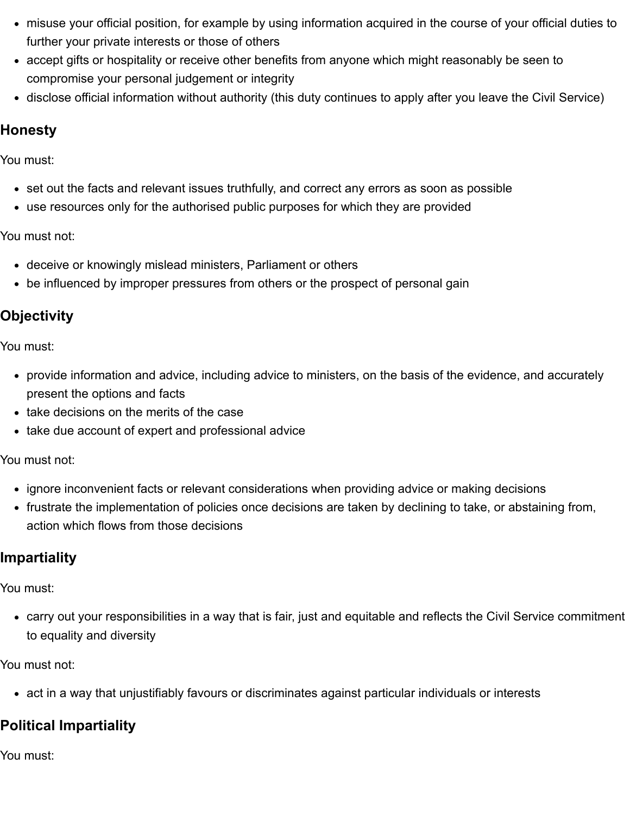- misuse your official position, for example by using information acquired in the course of your official duties to further your private interests or those of others
- accept gifts or hospitality or receive other benefits from anyone which might reasonably be seen to compromise your personal judgement or integrity
- disclose official information without authority (this duty continues to apply after you leave the Civil Service)

#### **Honesty**

You must:

- set out the facts and relevant issues truthfully, and correct any errors as soon as possible
- use resources only for the authorised public purposes for which they are provided

You must not:

- deceive or knowingly mislead ministers, Parliament or others
- be influenced by improper pressures from others or the prospect of personal gain

### **Objectivity**

You must:

- provide information and advice, including advice to ministers, on the basis of the evidence, and accurately present the options and facts
- take decisions on the merits of the case
- take due account of expert and professional advice

You must not:

- ignore inconvenient facts or relevant considerations when providing advice or making decisions
- frustrate the implementation of policies once decisions are taken by declining to take, or abstaining from, action which flows from those decisions

#### **Impartiality**

You must:

carry out your responsibilities in a way that is fair, just and equitable and reflects the Civil Service commitment to equality and diversity

You must not:

act in a way that unjustifiably favours or discriminates against particular individuals or interests

### **Political Impartiality**

You must: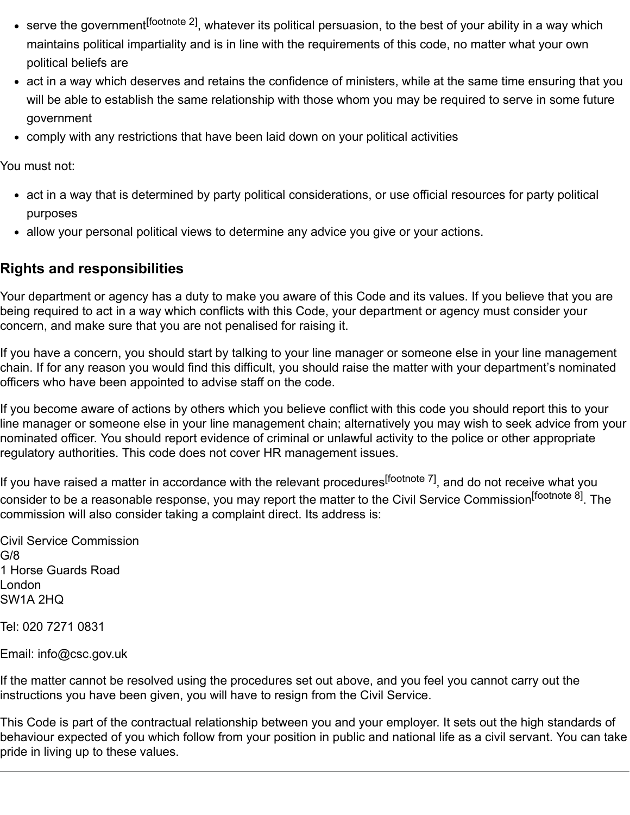- serve the government<sup>[\[footnote](#page-5-0) 2]</sup>, whatever its political persuasion, to the best of your ability in a way which maintains political impartiality and is in line with the requirements of this code, no matter what your own political beliefs are
- act in a way which deserves and retains the confidence of ministers, while at the same time ensuring that you will be able to establish the same relationship with those whom you may be required to serve in some future government
- comply with any restrictions that have been laid down on your political activities

You must not:

- act in a way that is determined by party political considerations, or use official resources for party political purposes
- allow your personal political views to determine any advice you give or your actions.

#### **Rights and responsibilities**

Your department or agency has a duty to make you aware of this Code and its values. If you believe that you are being required to act in a way which conflicts with this Code, your department or agency must consider your concern, and make sure that you are not penalised for raising it.

If you have a concern, you should start by talking to your line manager or someone else in your line management chain. If for any reason you would find this difficult, you should raise the matter with your department's nominated officers who have been appointed to advise staff on the code.

If you become aware of actions by others which you believe conflict with this code you should report this to your line manager or someone else in your line management chain; alternatively you may wish to seek advice from your nominated officer. You should report evidence of criminal or unlawful activity to the police or other appropriate regulatory authorities. This code does not cover HR management issues.

If you have raised a matter in accordance with the relevant procedures<sup>[\[footnote](#page-5-5) 7]</sup>, and do not receive what you consider to be a reasonable response, you may report the matter to the Civil Service Commission<sup>[\[footnote](#page-5-6) 8]</sup>. The commission will also consider taking a complaint direct. Its address is:

Civil Service Commission G/8 1 Horse Guards Road London SW1A 2HQ

Tel: 020 7271 0831

Email: [info@csc.gov.uk](mailto:info@csc.gov.uk)

If the matter cannot be resolved using the procedures set out above, and you feel you cannot carry out the instructions you have been given, you will have to resign from the Civil Service.

<span id="page-4-0"></span>This Code is part of the contractual relationship between you and your employer. It sets out the high standards of behaviour expected of you which follow from your position in public and national life as a civil servant. You can take pride in living up to these values.